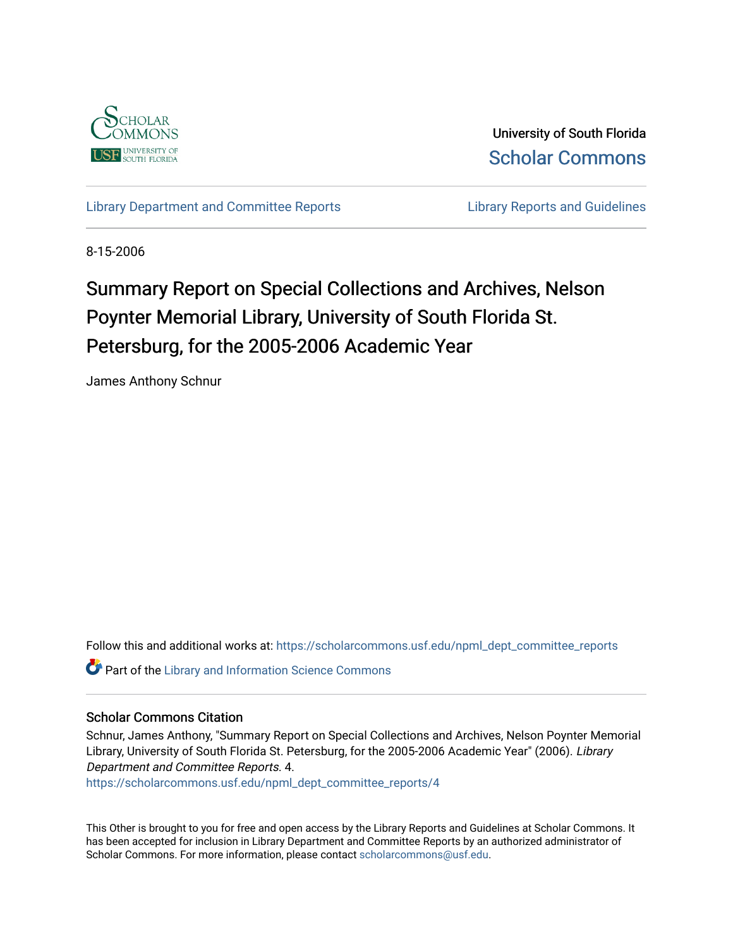

University of South Florida [Scholar Commons](https://scholarcommons.usf.edu/) 

[Library Department and Committee Reports](https://scholarcommons.usf.edu/npml_dept_committee_reports) **Library Reports and Guidelines** 

8-15-2006

# Summary Report on Special Collections and Archives, Nelson Poynter Memorial Library, University of South Florida St. Petersburg, for the 2005-2006 Academic Year

James Anthony Schnur

Follow this and additional works at: [https://scholarcommons.usf.edu/npml\\_dept\\_committee\\_reports](https://scholarcommons.usf.edu/npml_dept_committee_reports?utm_source=scholarcommons.usf.edu%2Fnpml_dept_committee_reports%2F4&utm_medium=PDF&utm_campaign=PDFCoverPages)

**Part of the Library and Information Science Commons** 

#### Scholar Commons Citation

Schnur, James Anthony, "Summary Report on Special Collections and Archives, Nelson Poynter Memorial Library, University of South Florida St. Petersburg, for the 2005-2006 Academic Year" (2006). Library Department and Committee Reports. 4.

[https://scholarcommons.usf.edu/npml\\_dept\\_committee\\_reports/4](https://scholarcommons.usf.edu/npml_dept_committee_reports/4?utm_source=scholarcommons.usf.edu%2Fnpml_dept_committee_reports%2F4&utm_medium=PDF&utm_campaign=PDFCoverPages)

This Other is brought to you for free and open access by the Library Reports and Guidelines at Scholar Commons. It has been accepted for inclusion in Library Department and Committee Reports by an authorized administrator of Scholar Commons. For more information, please contact [scholarcommons@usf.edu](mailto:scholarcommons@usf.edu).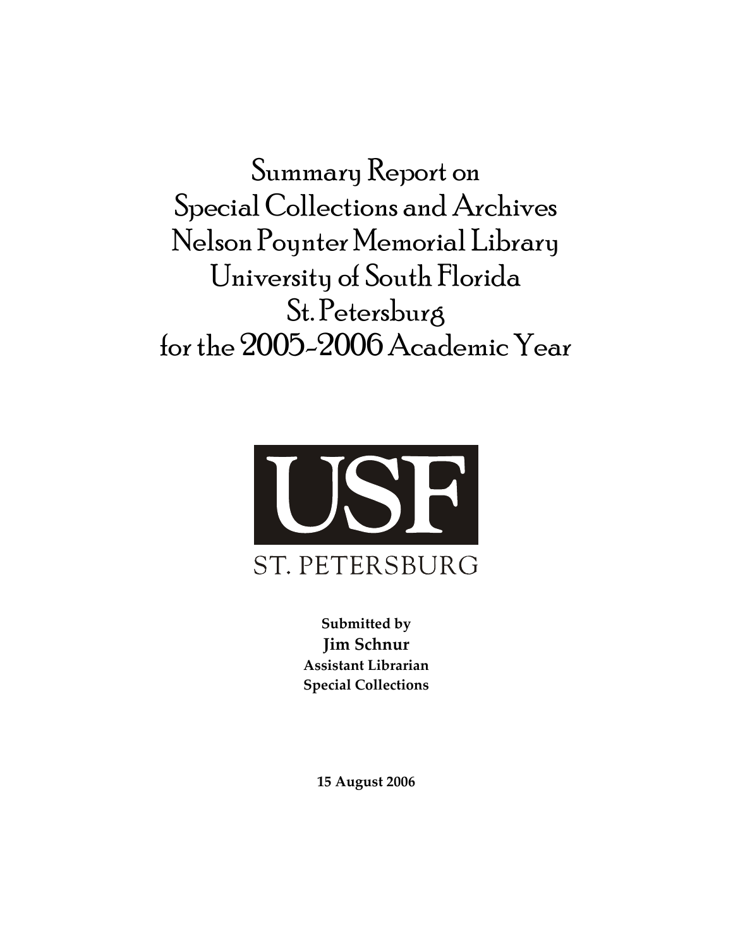Summary Report on Special Collections and Archives Nelson Poynter Memorial Library University of South Florida St. Petersburg for the 2005-2006 Academic Year



**Submitted by Jim Schnur Assistant Librarian Special Collections**

**15 August 2006**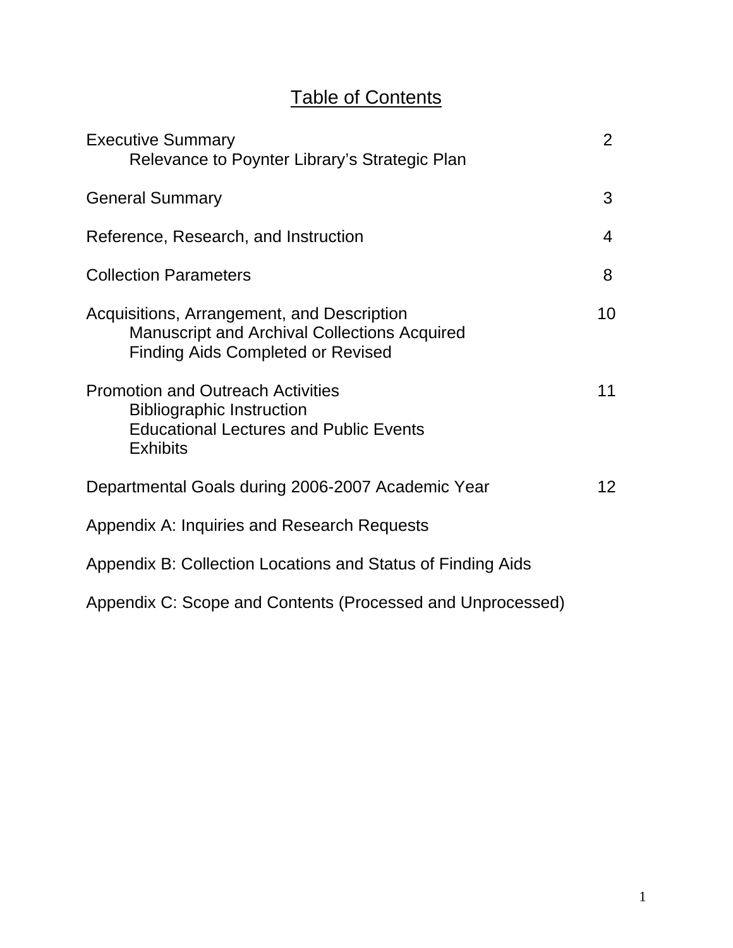# Table of Contents

| <b>Executive Summary</b><br>Relevance to Poynter Library's Strategic Plan                                                                        | $\overline{2}$  |
|--------------------------------------------------------------------------------------------------------------------------------------------------|-----------------|
| <b>General Summary</b>                                                                                                                           | 3               |
| Reference, Research, and Instruction                                                                                                             | 4               |
| <b>Collection Parameters</b>                                                                                                                     | 8               |
| Acquisitions, Arrangement, and Description<br><b>Manuscript and Archival Collections Acquired</b><br><b>Finding Aids Completed or Revised</b>    | 10              |
| <b>Promotion and Outreach Activities</b><br><b>Bibliographic Instruction</b><br><b>Educational Lectures and Public Events</b><br><b>Exhibits</b> | 11              |
| Departmental Goals during 2006-2007 Academic Year                                                                                                | 12 <sup>2</sup> |
| Appendix A: Inquiries and Research Requests                                                                                                      |                 |
| Appendix B: Collection Locations and Status of Finding Aids                                                                                      |                 |
| Appendix C: Scope and Contents (Processed and Unprocessed)                                                                                       |                 |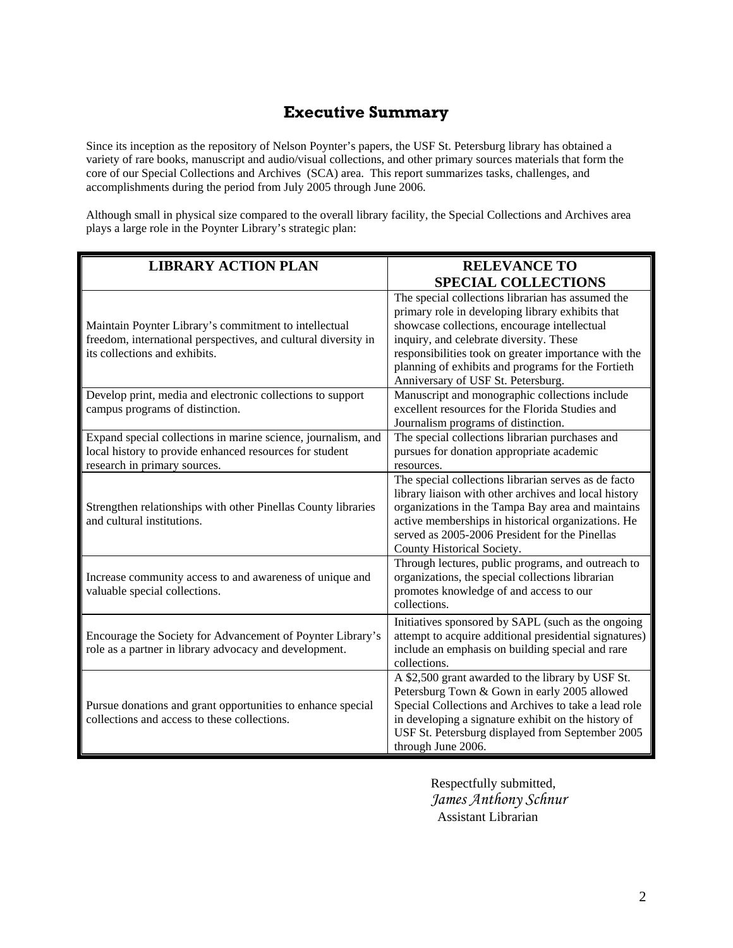# **Executive Summary**

Since its inception as the repository of Nelson Poynter's papers, the USF St. Petersburg library has obtained a variety of rare books, manuscript and audio/visual collections, and other primary sources materials that form the core of our Special Collections and Archives (SCA) area. This report summarizes tasks, challenges, and accomplishments during the period from July 2005 through June 2006.

Although small in physical size compared to the overall library facility, the Special Collections and Archives area plays a large role in the Poynter Library's strategic plan:

| <b>LIBRARY ACTION PLAN</b>                                                                                                                               | <b>RELEVANCE TO</b>                                                                                                                                                                                                                                                                                                                                  |
|----------------------------------------------------------------------------------------------------------------------------------------------------------|------------------------------------------------------------------------------------------------------------------------------------------------------------------------------------------------------------------------------------------------------------------------------------------------------------------------------------------------------|
|                                                                                                                                                          | <b>SPECIAL COLLECTIONS</b>                                                                                                                                                                                                                                                                                                                           |
| Maintain Poynter Library's commitment to intellectual<br>freedom, international perspectives, and cultural diversity in<br>its collections and exhibits. | The special collections librarian has assumed the<br>primary role in developing library exhibits that<br>showcase collections, encourage intellectual<br>inquiry, and celebrate diversity. These<br>responsibilities took on greater importance with the<br>planning of exhibits and programs for the Fortieth<br>Anniversary of USF St. Petersburg. |
| Develop print, media and electronic collections to support<br>campus programs of distinction.                                                            | Manuscript and monographic collections include<br>excellent resources for the Florida Studies and<br>Journalism programs of distinction.                                                                                                                                                                                                             |
| Expand special collections in marine science, journalism, and<br>local history to provide enhanced resources for student<br>research in primary sources. | The special collections librarian purchases and<br>pursues for donation appropriate academic<br>resources.                                                                                                                                                                                                                                           |
| Strengthen relationships with other Pinellas County libraries<br>and cultural institutions.                                                              | The special collections librarian serves as de facto<br>library liaison with other archives and local history<br>organizations in the Tampa Bay area and maintains<br>active memberships in historical organizations. He<br>served as 2005-2006 President for the Pinellas<br>County Historical Society.                                             |
| Increase community access to and awareness of unique and<br>valuable special collections.                                                                | Through lectures, public programs, and outreach to<br>organizations, the special collections librarian<br>promotes knowledge of and access to our<br>collections.                                                                                                                                                                                    |
| Encourage the Society for Advancement of Poynter Library's<br>role as a partner in library advocacy and development.                                     | Initiatives sponsored by SAPL (such as the ongoing<br>attempt to acquire additional presidential signatures)<br>include an emphasis on building special and rare<br>collections.                                                                                                                                                                     |
| Pursue donations and grant opportunities to enhance special<br>collections and access to these collections.                                              | A \$2,500 grant awarded to the library by USF St.<br>Petersburg Town & Gown in early 2005 allowed<br>Special Collections and Archives to take a lead role<br>in developing a signature exhibit on the history of<br>USF St. Petersburg displayed from September 2005<br>through June 2006.                                                           |

 Respectfully submitted,  *James Anthony Schnur*  Assistant Librarian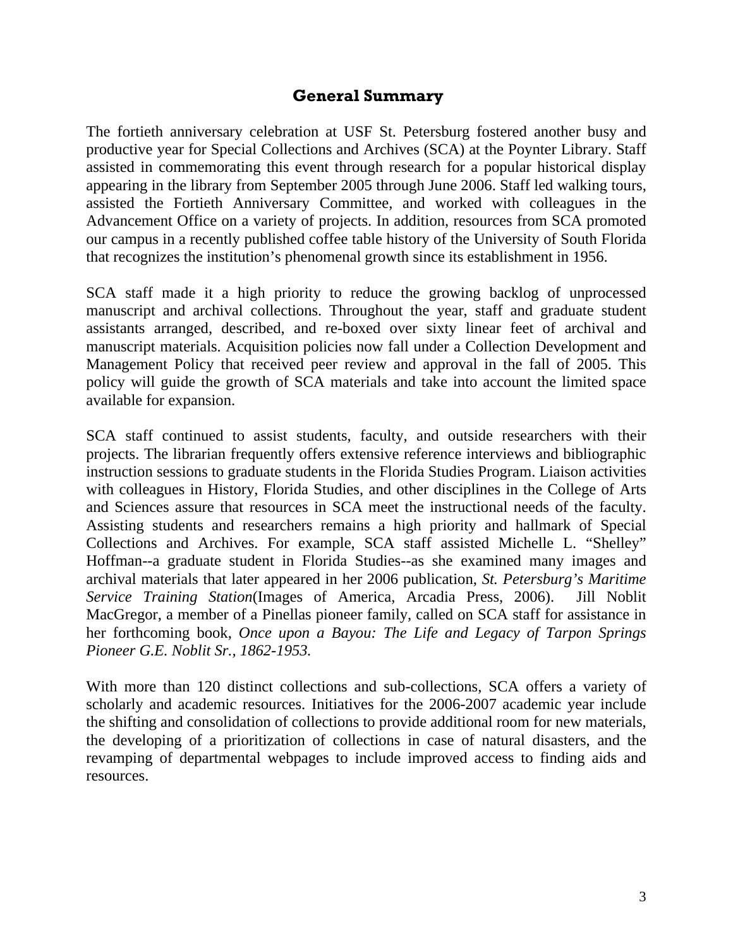# **General Summary**

The fortieth anniversary celebration at USF St. Petersburg fostered another busy and productive year for Special Collections and Archives (SCA) at the Poynter Library. Staff assisted in commemorating this event through research for a popular historical display appearing in the library from September 2005 through June 2006. Staff led walking tours, assisted the Fortieth Anniversary Committee, and worked with colleagues in the Advancement Office on a variety of projects. In addition, resources from SCA promoted our campus in a recently published coffee table history of the University of South Florida that recognizes the institution's phenomenal growth since its establishment in 1956.

SCA staff made it a high priority to reduce the growing backlog of unprocessed manuscript and archival collections. Throughout the year, staff and graduate student assistants arranged, described, and re-boxed over sixty linear feet of archival and manuscript materials. Acquisition policies now fall under a Collection Development and Management Policy that received peer review and approval in the fall of 2005. This policy will guide the growth of SCA materials and take into account the limited space available for expansion.

SCA staff continued to assist students, faculty, and outside researchers with their projects. The librarian frequently offers extensive reference interviews and bibliographic instruction sessions to graduate students in the Florida Studies Program. Liaison activities with colleagues in History, Florida Studies, and other disciplines in the College of Arts and Sciences assure that resources in SCA meet the instructional needs of the faculty. Assisting students and researchers remains a high priority and hallmark of Special Collections and Archives. For example, SCA staff assisted Michelle L. "Shelley" Hoffman--a graduate student in Florida Studies--as she examined many images and archival materials that later appeared in her 2006 publication, *St. Petersburg's Maritime Service Training Station*(Images of America, Arcadia Press, 2006). Jill Noblit MacGregor, a member of a Pinellas pioneer family, called on SCA staff for assistance in her forthcoming book, *Once upon a Bayou: The Life and Legacy of Tarpon Springs Pioneer G.E. Noblit Sr., 1862-1953.*

With more than 120 distinct collections and sub-collections, SCA offers a variety of scholarly and academic resources. Initiatives for the 2006-2007 academic year include the shifting and consolidation of collections to provide additional room for new materials, the developing of a prioritization of collections in case of natural disasters, and the revamping of departmental webpages to include improved access to finding aids and resources.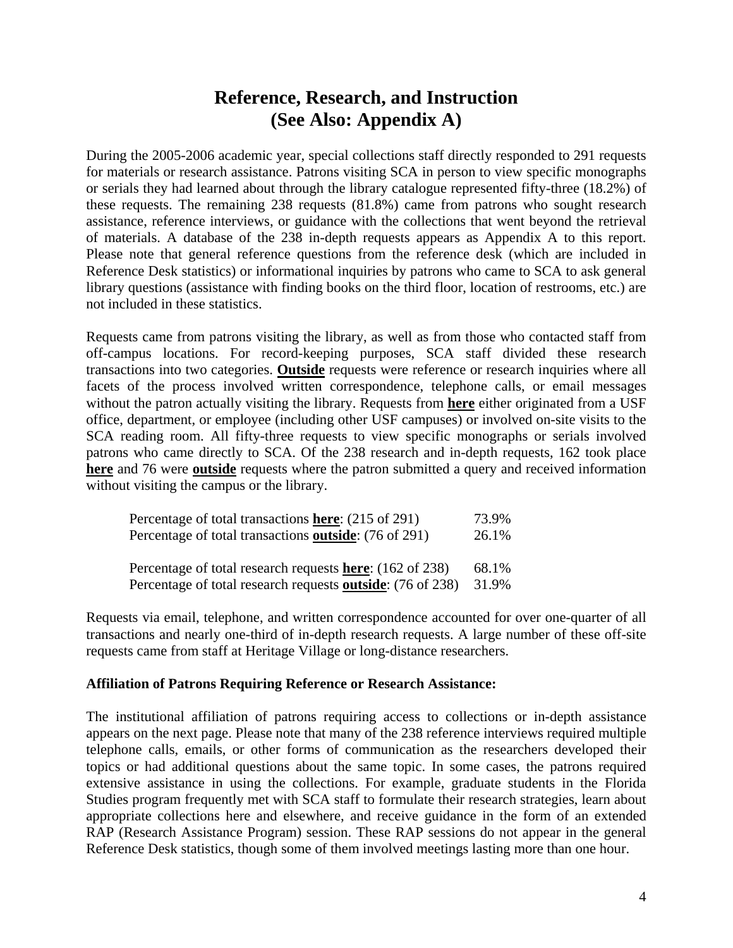# **Reference, Research, and Instruction (See Also: Appendix A)**

During the 2005-2006 academic year, special collections staff directly responded to 291 requests for materials or research assistance. Patrons visiting SCA in person to view specific monographs or serials they had learned about through the library catalogue represented fifty-three (18.2%) of these requests. The remaining 238 requests (81.8%) came from patrons who sought research assistance, reference interviews, or guidance with the collections that went beyond the retrieval of materials. A database of the 238 in-depth requests appears as Appendix A to this report. Please note that general reference questions from the reference desk (which are included in Reference Desk statistics) or informational inquiries by patrons who came to SCA to ask general library questions (assistance with finding books on the third floor, location of restrooms, etc.) are not included in these statistics.

Requests came from patrons visiting the library, as well as from those who contacted staff from off-campus locations. For record-keeping purposes, SCA staff divided these research transactions into two categories. **Outside** requests were reference or research inquiries where all facets of the process involved written correspondence, telephone calls, or email messages without the patron actually visiting the library. Requests from **here** either originated from a USF office, department, or employee (including other USF campuses) or involved on-site visits to the SCA reading room. All fifty-three requests to view specific monographs or serials involved patrons who came directly to SCA. Of the 238 research and in-depth requests, 162 took place **here** and 76 were **outside** requests where the patron submitted a query and received information without visiting the campus or the library.

| Percentage of total transactions here: (215 of 291)                | 73.9% |
|--------------------------------------------------------------------|-------|
| Percentage of total transactions outside: (76 of 291)              | 26.1% |
|                                                                    |       |
| Percentage of total research requests here: (162 of 238)           | 68.1% |
| Percentage of total research requests <b>outside</b> : (76 of 238) | 31.9% |

Requests via email, telephone, and written correspondence accounted for over one-quarter of all transactions and nearly one-third of in-depth research requests. A large number of these off-site requests came from staff at Heritage Village or long-distance researchers.

### **Affiliation of Patrons Requiring Reference or Research Assistance:**

The institutional affiliation of patrons requiring access to collections or in-depth assistance appears on the next page. Please note that many of the 238 reference interviews required multiple telephone calls, emails, or other forms of communication as the researchers developed their topics or had additional questions about the same topic. In some cases, the patrons required extensive assistance in using the collections. For example, graduate students in the Florida Studies program frequently met with SCA staff to formulate their research strategies, learn about appropriate collections here and elsewhere, and receive guidance in the form of an extended RAP (Research Assistance Program) session. These RAP sessions do not appear in the general Reference Desk statistics, though some of them involved meetings lasting more than one hour.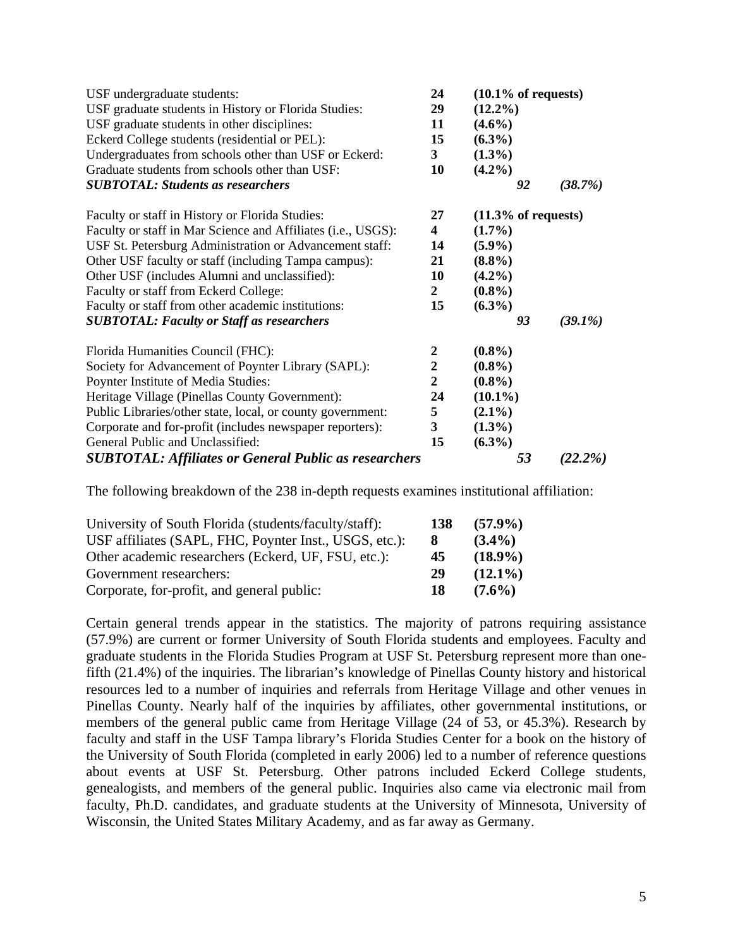| USF undergraduate students:<br>USF graduate students in History or Florida Studies:<br>USF graduate students in other disciplines:<br>Eckerd College students (residential or PEL):<br>Undergraduates from schools other than USF or Eckerd: | 24<br>29<br>11<br>15<br>$\mathbf{3}$ | $(10.1\% \text{ of requests})$<br>$(12.2\%)$<br>$(4.6\%)$<br>$(6.3\%)$<br>$(1.3\%)$ |            |
|----------------------------------------------------------------------------------------------------------------------------------------------------------------------------------------------------------------------------------------------|--------------------------------------|-------------------------------------------------------------------------------------|------------|
| Graduate students from schools other than USF:                                                                                                                                                                                               | 10                                   | $(4.2\%)$                                                                           |            |
| <b>SUBTOTAL: Students as researchers</b>                                                                                                                                                                                                     |                                      | 92                                                                                  | (38.7%)    |
| Faculty or staff in History or Florida Studies:                                                                                                                                                                                              | 27                                   | $(11.3\% \text{ of requests})$                                                      |            |
| Faculty or staff in Mar Science and Affiliates (i.e., USGS):                                                                                                                                                                                 | $\overline{\mathbf{4}}$              | $(1.7\%)$                                                                           |            |
| USF St. Petersburg Administration or Advancement staff:                                                                                                                                                                                      | 14                                   | $(5.9\%)$                                                                           |            |
| Other USF faculty or staff (including Tampa campus):                                                                                                                                                                                         | 21                                   | $(8.8\%)$                                                                           |            |
| Other USF (includes Alumni and unclassified):                                                                                                                                                                                                | 10                                   | $(4.2\%)$                                                                           |            |
| Faculty or staff from Eckerd College:                                                                                                                                                                                                        | $\mathbf{2}$                         | $(0.8\%)$                                                                           |            |
| Faculty or staff from other academic institutions:                                                                                                                                                                                           | 15                                   | $(6.3\%)$                                                                           |            |
| <b>SUBTOTAL: Faculty or Staff as researchers</b>                                                                                                                                                                                             |                                      | 93                                                                                  | $(39.1\%)$ |
| Florida Humanities Council (FHC):                                                                                                                                                                                                            | $\boldsymbol{2}$                     | $(0.8\%)$                                                                           |            |
| Society for Advancement of Poynter Library (SAPL):                                                                                                                                                                                           | 2                                    | $(0.8\%)$                                                                           |            |
| Poynter Institute of Media Studies:                                                                                                                                                                                                          | $\overline{2}$                       | $(0.8\%)$                                                                           |            |
| Heritage Village (Pinellas County Government):                                                                                                                                                                                               | 24                                   | $(10.1\%)$                                                                          |            |
| Public Libraries/other state, local, or county government:                                                                                                                                                                                   | 5                                    | $(2.1\%)$                                                                           |            |
| Corporate and for-profit (includes newspaper reporters):                                                                                                                                                                                     | $\mathbf{3}$                         | $(1.3\%)$                                                                           |            |
| General Public and Unclassified:                                                                                                                                                                                                             | 15                                   | $(6.3\%)$                                                                           |            |
| <b>SUBTOTAL: Affiliates or General Public as researchers</b>                                                                                                                                                                                 |                                      | 53                                                                                  | $(22.2\%)$ |

The following breakdown of the 238 in-depth requests examines institutional affiliation:

| University of South Florida (students/faculty/staff):  | 138 | $(57.9\%)$ |
|--------------------------------------------------------|-----|------------|
| USF affiliates (SAPL, FHC, Poynter Inst., USGS, etc.): | x.  | $(3.4\%)$  |
| Other academic researchers (Eckerd, UF, FSU, etc.):    | 45  | $(18.9\%)$ |
| Government researchers:                                | 29  | $(12.1\%)$ |
| Corporate, for-profit, and general public:             | 18  | $(7.6\%)$  |

Certain general trends appear in the statistics. The majority of patrons requiring assistance (57.9%) are current or former University of South Florida students and employees. Faculty and graduate students in the Florida Studies Program at USF St. Petersburg represent more than onefifth (21.4%) of the inquiries. The librarian's knowledge of Pinellas County history and historical resources led to a number of inquiries and referrals from Heritage Village and other venues in Pinellas County. Nearly half of the inquiries by affiliates, other governmental institutions, or members of the general public came from Heritage Village (24 of 53, or 45.3%). Research by faculty and staff in the USF Tampa library's Florida Studies Center for a book on the history of the University of South Florida (completed in early 2006) led to a number of reference questions about events at USF St. Petersburg. Other patrons included Eckerd College students, genealogists, and members of the general public. Inquiries also came via electronic mail from faculty, Ph.D. candidates, and graduate students at the University of Minnesota, University of Wisconsin, the United States Military Academy, and as far away as Germany.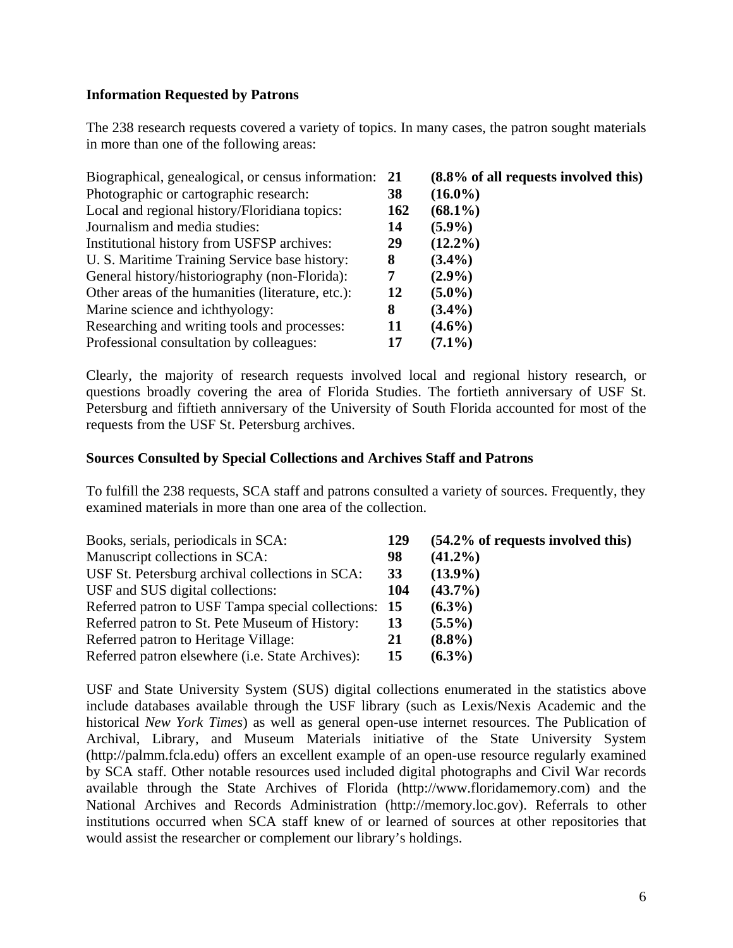## **Information Requested by Patrons**

The 238 research requests covered a variety of topics. In many cases, the patron sought materials in more than one of the following areas:

| Biographical, genealogical, or census information: 21 |     | $(8.8\% \text{ of all requests involved this})$ |
|-------------------------------------------------------|-----|-------------------------------------------------|
| Photographic or cartographic research:                | 38  | $(16.0\%)$                                      |
| Local and regional history/Floridiana topics:         | 162 | $(68.1\%)$                                      |
| Journalism and media studies:                         | 14  | $(5.9\%)$                                       |
| Institutional history from USFSP archives:            | 29  | $(12.2\%)$                                      |
| U. S. Maritime Training Service base history:         | 8   | $(3.4\%)$                                       |
| General history/historiography (non-Florida):         |     | $(2.9\%)$                                       |
| Other areas of the humanities (literature, etc.):     | 12  | $(5.0\%)$                                       |
| Marine science and ichthyology:                       | 8   | $(3.4\%)$                                       |
| Researching and writing tools and processes:          | 11  | $(4.6\%)$                                       |
| Professional consultation by colleagues:              | 17  | $(7.1\%)$                                       |

Clearly, the majority of research requests involved local and regional history research, or questions broadly covering the area of Florida Studies. The fortieth anniversary of USF St. Petersburg and fiftieth anniversary of the University of South Florida accounted for most of the requests from the USF St. Petersburg archives.

### **Sources Consulted by Special Collections and Archives Staff and Patrons**

To fulfill the 238 requests, SCA staff and patrons consulted a variety of sources. Frequently, they examined materials in more than one area of the collection.

| Books, serials, periodicals in SCA:                      | 129 | $(54.2\% \text{ of requests involved this})$ |
|----------------------------------------------------------|-----|----------------------------------------------|
| Manuscript collections in SCA:                           | 98  | $(41.2\%)$                                   |
| USF St. Petersburg archival collections in SCA:          | 33  | $(13.9\%)$                                   |
| USF and SUS digital collections:                         | 104 | $(43.7\%)$                                   |
| Referred patron to USF Tampa special collections: 15     |     | $(6.3\%)$                                    |
| Referred patron to St. Pete Museum of History:           | 13  | $(5.5\%)$                                    |
| Referred patron to Heritage Village:                     | 21  | $(8.8\%)$                                    |
| Referred patron elsewhere ( <i>i.e.</i> State Archives): | 15  | $(6.3\%)$                                    |

USF and State University System (SUS) digital collections enumerated in the statistics above include databases available through the USF library (such as Lexis/Nexis Academic and the historical *New York Times*) as well as general open-use internet resources. The Publication of Archival, Library, and Museum Materials initiative of the State University System (http://palmm.fcla.edu) offers an excellent example of an open-use resource regularly examined by SCA staff. Other notable resources used included digital photographs and Civil War records available through the State Archives of Florida (http://www.floridamemory.com) and the National Archives and Records Administration (http://memory.loc.gov). Referrals to other institutions occurred when SCA staff knew of or learned of sources at other repositories that would assist the researcher or complement our library's holdings.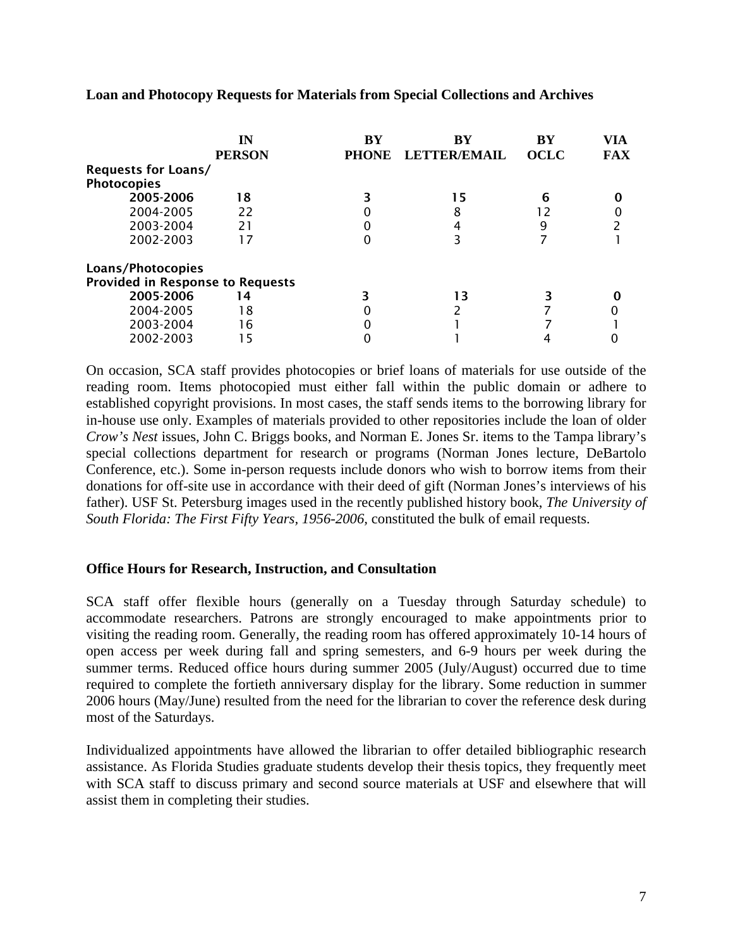|                                         | IΝ<br><b>PERSON</b> | $\mathbf{B}\mathbf{Y}$<br><b>PHONE</b> | <b>BY</b><br><b>LETTER/EMAIL</b> | $\mathbf{B}\mathbf{Y}$<br><b>OCLC</b> | VIA<br><b>FAX</b> |
|-----------------------------------------|---------------------|----------------------------------------|----------------------------------|---------------------------------------|-------------------|
| <b>Requests for Loans/</b>              |                     |                                        |                                  |                                       |                   |
| <b>Photocopies</b>                      |                     |                                        |                                  |                                       |                   |
| 2005-2006                               | 18                  |                                        | 15                               | 6                                     |                   |
| 2004-2005                               | 22                  |                                        | 8                                |                                       |                   |
| 2003-2004                               | 21                  |                                        |                                  | 9                                     |                   |
| 2002-2003                               | 17                  |                                        |                                  |                                       |                   |
| Loans/Photocopies                       |                     |                                        |                                  |                                       |                   |
| <b>Provided in Response to Requests</b> |                     |                                        |                                  |                                       |                   |
| 2005-2006                               | 14                  |                                        | 13                               |                                       |                   |
| 2004-2005                               | 18                  |                                        |                                  |                                       |                   |
| 2003-2004                               | 16                  |                                        |                                  |                                       |                   |
| 2002-2003                               | 15                  |                                        |                                  |                                       |                   |

**Loan and Photocopy Requests for Materials from Special Collections and Archives** 

On occasion, SCA staff provides photocopies or brief loans of materials for use outside of the reading room. Items photocopied must either fall within the public domain or adhere to established copyright provisions. In most cases, the staff sends items to the borrowing library for in-house use only. Examples of materials provided to other repositories include the loan of older *Crow's Nest* issues, John C. Briggs books, and Norman E. Jones Sr. items to the Tampa library's special collections department for research or programs (Norman Jones lecture, DeBartolo Conference, etc.). Some in-person requests include donors who wish to borrow items from their donations for off-site use in accordance with their deed of gift (Norman Jones's interviews of his father). USF St. Petersburg images used in the recently published history book, *The University of South Florida: The First Fifty Years, 1956-2006,* constituted the bulk of email requests.

### **Office Hours for Research, Instruction, and Consultation**

SCA staff offer flexible hours (generally on a Tuesday through Saturday schedule) to accommodate researchers. Patrons are strongly encouraged to make appointments prior to visiting the reading room. Generally, the reading room has offered approximately 10-14 hours of open access per week during fall and spring semesters, and 6-9 hours per week during the summer terms. Reduced office hours during summer 2005 (July/August) occurred due to time required to complete the fortieth anniversary display for the library. Some reduction in summer 2006 hours (May/June) resulted from the need for the librarian to cover the reference desk during most of the Saturdays.

Individualized appointments have allowed the librarian to offer detailed bibliographic research assistance. As Florida Studies graduate students develop their thesis topics, they frequently meet with SCA staff to discuss primary and second source materials at USF and elsewhere that will assist them in completing their studies.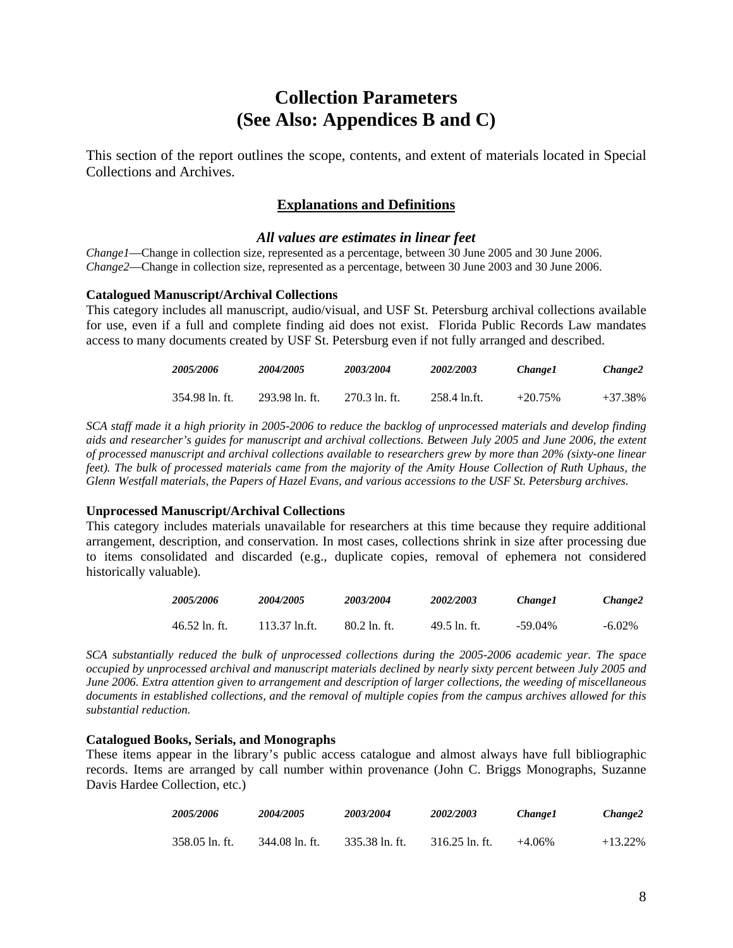# **Collection Parameters (See Also: Appendices B and C)**

This section of the report outlines the scope, contents, and extent of materials located in Special Collections and Archives.

### **Explanations and Definitions**

#### *All values are estimates in linear feet*

*Change1*—Change in collection size, represented as a percentage, between 30 June 2005 and 30 June 2006. *Change2*—Change in collection size, represented as a percentage, between 30 June 2003 and 30 June 2006.

#### **Catalogued Manuscript/Archival Collections**

This category includes all manuscript, audio/visual, and USF St. Petersburg archival collections available for use, even if a full and complete finding aid does not exist. Florida Public Records Law mandates access to many documents created by USF St. Petersburg even if not fully arranged and described.

| <i><b>2005/2006</b></i> | <i><b>2004/2005</b></i> | 2003/2004       | 2002/2003    | Change 1  | Change2   |
|-------------------------|-------------------------|-----------------|--------------|-----------|-----------|
| 354.98 ln. ft.          | 293.98 ln. ft.          | $270.3$ ln. ft. | 258.4 ln.ft. | $+20.75%$ | $+37.38%$ |

*SCA staff made it a high priority in 2005-2006 to reduce the backlog of unprocessed materials and develop finding aids and researcher's guides for manuscript and archival collections. Between July 2005 and June 2006, the extent of processed manuscript and archival collections available to researchers grew by more than 20% (sixty-one linear feet). The bulk of processed materials came from the majority of the Amity House Collection of Ruth Uphaus, the Glenn Westfall materials, the Papers of Hazel Evans, and various accessions to the USF St. Petersburg archives.* 

#### **Unprocessed Manuscript/Archival Collections**

This category includes materials unavailable for researchers at this time because they require additional arrangement, description, and conservation. In most cases, collections shrink in size after processing due to items consolidated and discarded (e.g., duplicate copies, removal of ephemera not considered historically valuable).

| <i><b>2005/2006</b></i> | <i><b>2004/2005</b></i> | 2003/2004    | 2002/2003    | Change1    | Change2   |
|-------------------------|-------------------------|--------------|--------------|------------|-----------|
| $46.52$ ln. ft.         | 113.37 ln.ft.           | 80.2 ln. ft. | 49.5 ln. ft. | $-59.04\%$ | $-6.02\%$ |

*SCA substantially reduced the bulk of unprocessed collections during the 2005-2006 academic year. The space occupied by unprocessed archival and manuscript materials declined by nearly sixty percent between July 2005 and June 2006. Extra attention given to arrangement and description of larger collections, the weeding of miscellaneous documents in established collections, and the removal of multiple copies from the campus archives allowed for this substantial reduction.* 

#### **Catalogued Books, Serials, and Monographs**

These items appear in the library's public access catalogue and almost always have full bibliographic records. Items are arranged by call number within provenance (John C. Briggs Monographs, Suzanne Davis Hardee Collection, etc.)

| 2005/2006      | <i><b>2004/2005</b></i> | 2003/2004      | 2002/2003        | Change 1 | Change2    |
|----------------|-------------------------|----------------|------------------|----------|------------|
| 358.05 ln. ft. | 344.08 ln. ft.          | 335.38 ln. ft. | $316.25$ ln. ft. | $+4.06%$ | $+13.22\%$ |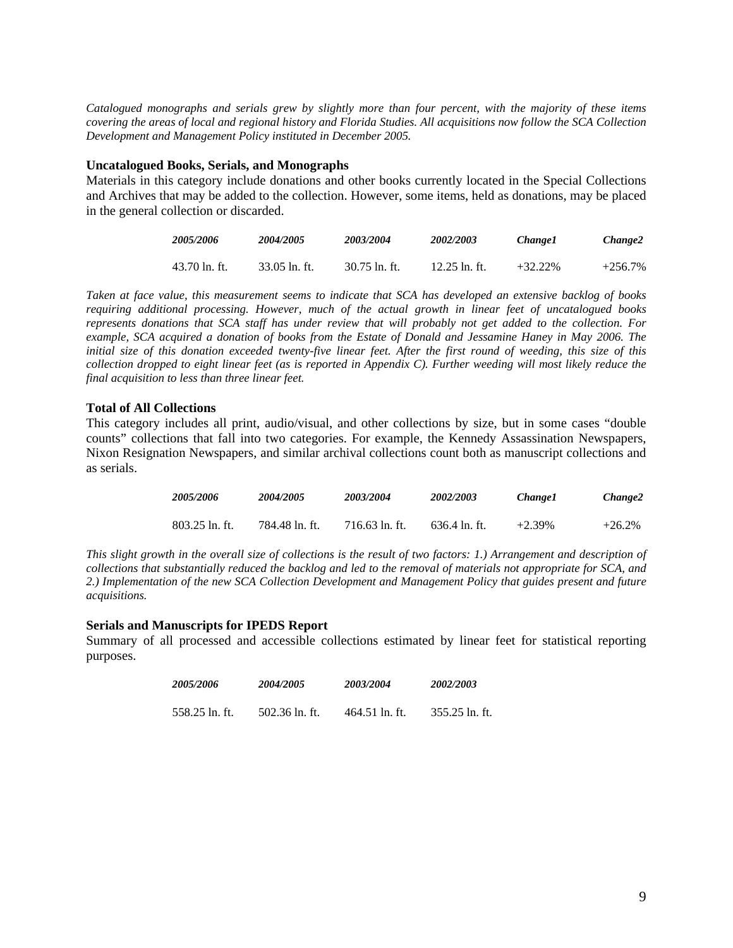*Catalogued monographs and serials grew by slightly more than four percent, with the majority of these items covering the areas of local and regional history and Florida Studies. All acquisitions now follow the SCA Collection Development and Management Policy instituted in December 2005.* 

#### **Uncatalogued Books, Serials, and Monographs**

Materials in this category include donations and other books currently located in the Special Collections and Archives that may be added to the collection. However, some items, held as donations, may be placed in the general collection or discarded.

| 2005/2006       | <i><b>2004/2005</b></i> | 2003/2004     | 2002/2003       | Change 1 | Change2    |
|-----------------|-------------------------|---------------|-----------------|----------|------------|
| $43.70$ ln. ft. | $33.05$ ln. ft.         | 30.75 ln. ft. | $12.25$ ln. ft. | +32.22%  | $+256.7\%$ |

*Taken at face value, this measurement seems to indicate that SCA has developed an extensive backlog of books requiring additional processing. However, much of the actual growth in linear feet of uncatalogued books represents donations that SCA staff has under review that will probably not get added to the collection. For example, SCA acquired a donation of books from the Estate of Donald and Jessamine Haney in May 2006. The initial size of this donation exceeded twenty-five linear feet. After the first round of weeding, this size of this collection dropped to eight linear feet (as is reported in Appendix C). Further weeding will most likely reduce the final acquisition to less than three linear feet.* 

#### **Total of All Collections**

This category includes all print, audio/visual, and other collections by size, but in some cases "double counts" collections that fall into two categories. For example, the Kennedy Assassination Newspapers, Nixon Resignation Newspapers, and similar archival collections count both as manuscript collections and as serials.

| <i><b>2005/2006</b></i> | 2004/2005      | 2003/2004      | 2002/2003     | Change1   | Change2  |
|-------------------------|----------------|----------------|---------------|-----------|----------|
| $803.25$ ln. ft.        | 784.48 ln. ft. | 716.63 ln. ft. | 636.4 ln. ft. | $+2.39\%$ | $+26.2%$ |

*This slight growth in the overall size of collections is the result of two factors: 1.) Arrangement and description of collections that substantially reduced the backlog and led to the removal of materials not appropriate for SCA, and 2.) Implementation of the new SCA Collection Development and Management Policy that guides present and future acquisitions.* 

#### **Serials and Manuscripts for IPEDS Report**

Summary of all processed and accessible collections estimated by linear feet for statistical reporting purposes.

| 2005/2006      | 2004/2005      | 2003/2004      | 2002/2003      |
|----------------|----------------|----------------|----------------|
| 558.25 ln. ft. | 502.36 ln. ft. | 464.51 ln. ft. | 355.25 ln. ft. |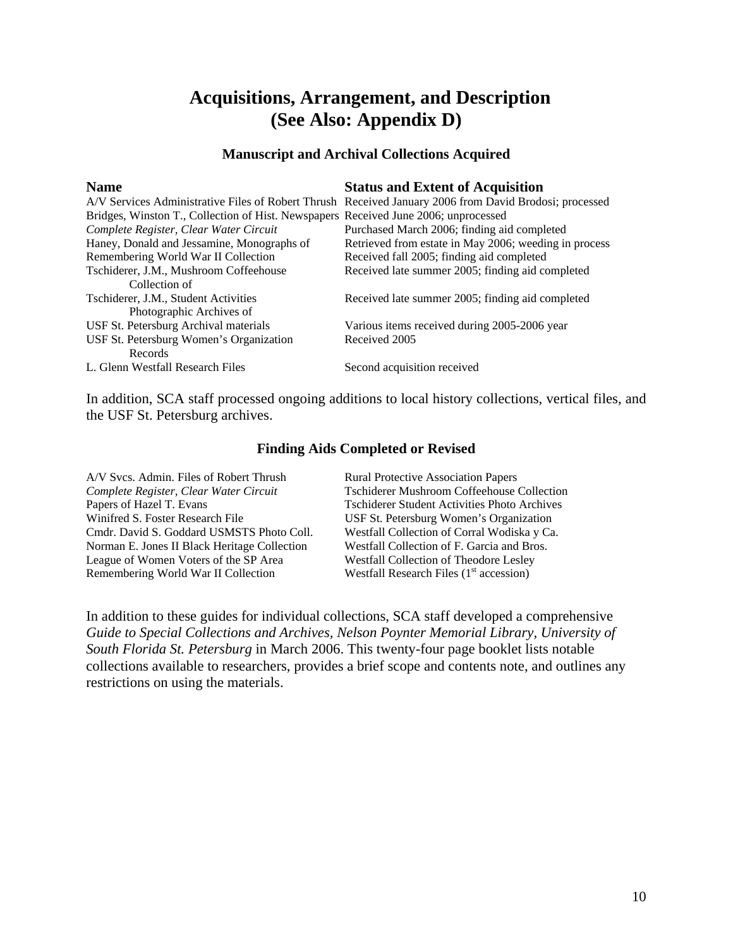# **Acquisitions, Arrangement, and Description (See Also: Appendix D)**

## **Manuscript and Archival Collections Acquired**

| <b>Name</b>                                                                         | <b>Status and Extent of Acquisition</b>                                                                |
|-------------------------------------------------------------------------------------|--------------------------------------------------------------------------------------------------------|
|                                                                                     | A/V Services Administrative Files of Robert Thrush Received January 2006 from David Brodosi; processed |
| Bridges, Winston T., Collection of Hist. Newspapers Received June 2006; unprocessed |                                                                                                        |
| Complete Register, Clear Water Circuit                                              | Purchased March 2006; finding aid completed                                                            |
| Haney, Donald and Jessamine, Monographs of                                          | Retrieved from estate in May 2006; weeding in process                                                  |
| Remembering World War II Collection                                                 | Received fall 2005; finding aid completed                                                              |
| Tschiderer, J.M., Mushroom Coffeehouse                                              | Received late summer 2005; finding aid completed                                                       |
| Collection of                                                                       |                                                                                                        |
| Tschiderer, J.M., Student Activities                                                | Received late summer 2005; finding aid completed                                                       |
| Photographic Archives of                                                            |                                                                                                        |
| USF St. Petersburg Archival materials                                               | Various items received during 2005-2006 year                                                           |
| USF St. Petersburg Women's Organization                                             | Received 2005                                                                                          |
| Records                                                                             |                                                                                                        |
| L. Glenn Westfall Research Files                                                    | Second acquisition received                                                                            |

In addition, SCA staff processed ongoing additions to local history collections, vertical files, and the USF St. Petersburg archives.

### **Finding Aids Completed or Revised**

A/V Svcs. Admin. Files of Robert Thrush Rural Protective Association Papers Papers of Hazel T. Evans Tschiderer Student Activities Photo Archives Winifred S. Foster Research File USF St. Petersburg Women's Organization Cmdr. David S. Goddard USMSTS Photo Coll. Westfall Collection of Corral Wodiska y Ca. Norman E. Jones II Black Heritage Collection Westfall Collection of F. Garcia and Bros. League of Women Voters of the SP Area Westfall Collection of Theodore Lesley Remembering World War II Collection Westfall Research Files  $(1<sup>st</sup> \arccosion)$ 

*Complete Register, Clear Water Circuit* Tschiderer Mushroom Coffeehouse Collection

In addition to these guides for individual collections, SCA staff developed a comprehensive *Guide to Special Collections and Archives, Nelson Poynter Memorial Library, University of South Florida St. Petersburg* in March 2006. This twenty-four page booklet lists notable collections available to researchers, provides a brief scope and contents note, and outlines any restrictions on using the materials.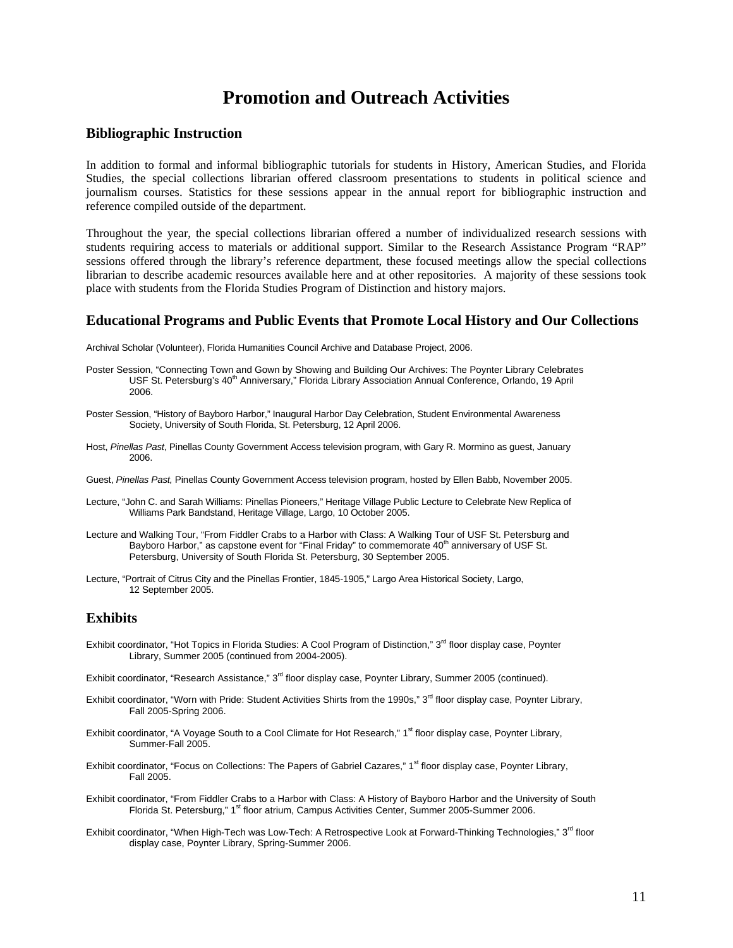# **Promotion and Outreach Activities**

#### **Bibliographic Instruction**

In addition to formal and informal bibliographic tutorials for students in History, American Studies, and Florida Studies, the special collections librarian offered classroom presentations to students in political science and journalism courses. Statistics for these sessions appear in the annual report for bibliographic instruction and reference compiled outside of the department.

Throughout the year, the special collections librarian offered a number of individualized research sessions with students requiring access to materials or additional support. Similar to the Research Assistance Program "RAP" sessions offered through the library's reference department, these focused meetings allow the special collections librarian to describe academic resources available here and at other repositories. A majority of these sessions took place with students from the Florida Studies Program of Distinction and history majors.

#### **Educational Programs and Public Events that Promote Local History and Our Collections**

Archival Scholar (Volunteer), Florida Humanities Council Archive and Database Project, 2006.

- Poster Session, "Connecting Town and Gown by Showing and Building Our Archives: The Poynter Library Celebrates USF St. Petersburg's 40<sup>th</sup> Anniversary," Florida Library Association Annual Conference, Orlando, 19 April 2006.
- Poster Session, "History of Bayboro Harbor," Inaugural Harbor Day Celebration, Student Environmental Awareness Society, University of South Florida, St. Petersburg, 12 April 2006.
- Host, *Pinellas Past*, Pinellas County Government Access television program, with Gary R. Mormino as guest, January 2006.
- Guest, *Pinellas Past,* Pinellas County Government Access television program, hosted by Ellen Babb, November 2005.
- Lecture, "John C. and Sarah Williams: Pinellas Pioneers," Heritage Village Public Lecture to Celebrate New Replica of Williams Park Bandstand, Heritage Village, Largo, 10 October 2005.
- Lecture and Walking Tour, "From Fiddler Crabs to a Harbor with Class: A Walking Tour of USF St. Petersburg and Bayboro Harbor," as capstone event for "Final Friday" to commemorate 40<sup>th</sup> anniversary of USF St. Petersburg, University of South Florida St. Petersburg, 30 September 2005.
- Lecture, "Portrait of Citrus City and the Pinellas Frontier, 1845-1905," Largo Area Historical Society, Largo, 12 September 2005.

#### **Exhibits**

- Exhibit coordinator, "Hot Topics in Florida Studies: A Cool Program of Distinction," 3<sup>rd</sup> floor display case, Poynter Library, Summer 2005 (continued from 2004-2005).
- Exhibit coordinator, "Research Assistance," 3<sup>rd</sup> floor display case, Poynter Library, Summer 2005 (continued).
- Exhibit coordinator, "Worn with Pride: Student Activities Shirts from the 1990s," 3<sup>rd</sup> floor display case, Poynter Library, Fall 2005-Spring 2006.
- Exhibit coordinator, "A Voyage South to a Cool Climate for Hot Research," 1<sup>st</sup> floor display case, Poynter Library, Summer-Fall 2005.
- Exhibit coordinator, "Focus on Collections: The Papers of Gabriel Cazares," 1<sup>st</sup> floor display case, Poynter Library, Fall 2005.
- Exhibit coordinator, "From Fiddler Crabs to a Harbor with Class: A History of Bayboro Harbor and the University of South Florida St. Petersburg," 1<sup>st</sup> floor atrium, Campus Activities Center, Summer 2005-Summer 2006.
- Exhibit coordinator, "When High-Tech was Low-Tech: A Retrospective Look at Forward-Thinking Technologies," 3<sup>rd</sup> floor display case, Poynter Library, Spring-Summer 2006.